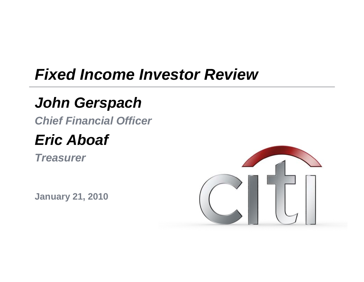## *Fixed Income Investor Review*

## *John Gerspach*

*Chief Financial Officer*

#### *Eric Aboaf*

*Treasurer*

**J 21 2010 January 21,** 

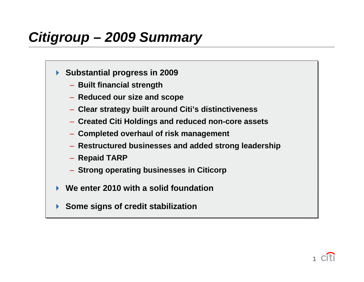#### *Citigroup – 2009 Summary*

- **Substantial progress in 2009 Substantial progress in 2009**
	- **Built financial strength Built financial strength**
	- **Reduced our size and scope Reduced our size and scope**
	- **Clear strategy built around Citi's distinctiveness Clear strategy built around Citi's distinctiveness**
	- Created Citi Holdings and reduced non-core assets
	- **Completed overhaul of risk management Completed overhaul of risk management**
	- **Restructured businesses and added strong leadership Restructured businesses and added strong leadership**
	- **Repaid TARP** –– **Repaid TARP** –
	- **Strong operating businesses in Citicorp Strong operating businesses in Citicorp**
- $\blacktriangleright$ **We enter 2010 with a solid foundation We enter 2010 with a solid foundation**
- **Some signs of credit stabilization Some signs of credit stabilization**

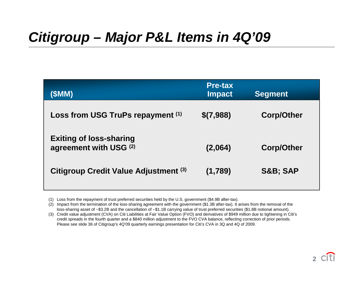#### *Citigroup – Major P&L Items in 4Q'09*

| (\$MM)                                                   | <b>Pre-tax</b><br><b>Impact</b> | <b>Segment</b>     |
|----------------------------------------------------------|---------------------------------|--------------------|
| Loss from USG TruPs repayment (1)                        | \$(7,988)                       | <b>Corp/Other</b>  |
| <b>Exiting of loss-sharing</b><br>agreement with USG (2) | (2,064)                         | <b>Corp/Other</b>  |
| <b>Citigroup Credit Value Adjustment (3)</b>             | (1,789)                         | <b>S&amp;B SAP</b> |

(1) Loss from the repayment of trust preferred securities held by the U.S. government (\$4.9B after-tax).

(2) Impact from the termination of the loss-sharing agreement with the government (\$1.3B after-tax). It arises from the removal of the loss-sharing asset of ~\$3.2B and the cancellation of ~\$1.1B carrying value of trust preferred securities (\$1.8B notional amount).

(3) Credit value adjustment (CVA) on Citi Liabilities at Fair Value Option (FVO) and derivatives of \$949 million due to tightening in Citi's credit spreads in the fourth quarter and a \$840 million adjustment to the FVO CVA balance, reflecting correction of prior periods. Please see slide 36 of Citigroup's 4Q'09 quarterly earnings presentation for Citi's CVA in 3Q and 4Q of 2009.

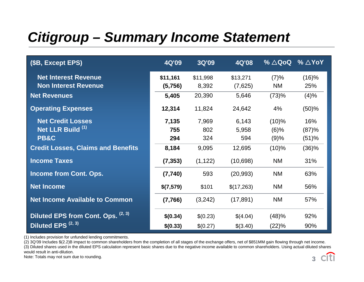## *Citigroup – Summary Income Statement*

| (\$B, Except EPS)                                          | 4Q'09               | 3Q'09             | 4Q'08               | $% \triangle Q$ oQ | % $\triangle$ YoY |
|------------------------------------------------------------|---------------------|-------------------|---------------------|--------------------|-------------------|
| <b>Net Interest Revenue</b><br><b>Non Interest Revenue</b> | \$11,161<br>(5,756) | \$11,998<br>8,392 | \$13,271<br>(7,625) | (7)%<br><b>NM</b>  | (16)%<br>25%      |
| <b>Net Revenues</b>                                        | 5,405               | 20,390            | 5,646               | (73)%              | (4)%              |
| <b>Operating Expenses</b>                                  | 12,314              | 11,824            | 24,642              | 4%                 | (50)%             |
| <b>Net Credit Losses</b>                                   | 7,135               | 7,969             | 6,143               | $(10)\%$           | 16%               |
| Net LLR Build (1)                                          | 755                 | 802               | 5,958               | $(6)\%$            | (87)%             |
| <b>PB&amp;C</b>                                            | 294                 | 324               | 594                 | (9)%               | (51)%             |
| <b>Credit Losses, Claims and Benefits</b>                  | 8,184               | 9,095             | 12,695              | $(10)\%$           | (36)%             |
| <b>Income Taxes</b>                                        | (7, 353)            | (1, 122)          | (10,698)            | <b>NM</b>          | 31%               |
| <b>Income from Cont. Ops.</b>                              | (7, 740)            | 593               | (20, 993)           | <b>NM</b>          | 63%               |
| <b>Net Income</b>                                          | \$(7,579)           | \$101             | \$(17,263)          | <b>NM</b>          | 56%               |
| <b>Net Income Available to Common</b>                      | (7,766)             | (3,242)           | (17, 891)           | <b>NM</b>          | 57%               |
| Diluted EPS from Cont. Ops. (2, 3)                         | \$(0.34)            | \$(0.23)          | \$(4.04)            | (48)%              | 92%               |
| Diluted EPS <sup>(2, 3)</sup>                              | \$(0.33)            | \$(0.27)          | \$(3.40)            | (22)%              | 90%               |

(1) Includes provision for unfunded lending commitments.

(2) 3Q'09 Includes \$(2.2)B impact to common shareholders from the completion of all stages of the exchange offers, net of \$851MM gain flowing through net income.

(3) Diluted shares used in the diluted EPS calculation represent basic shares due to the negative income available to common shareholders. Using actual diluted shares would result in anti-dilution.

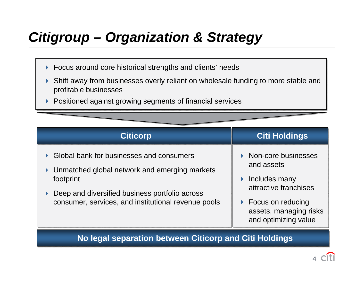## *Citigroup – Organization & Strategy*

- Focus around core historical strengths and clients' needs Focus around core historical strengths and clients' needs
- $\blacktriangleright$  Shift away from businesses overly reliant on wholesale funding to more stable and Shift away from businesses overly reliant on wholesale funding to more stable and profitable businesses
- $\blacktriangleright$ ▶ Positioned against growing segments of financial services  $\blacktriangleright$



#### **No legal separation between Citicorp and Citi Holdings No legal separation between Citicorp and Citi Holdings**

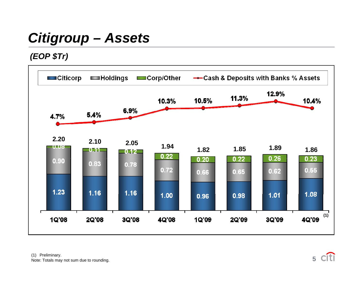## *Citigroup – Assets*

*(EOP \$Tr)*



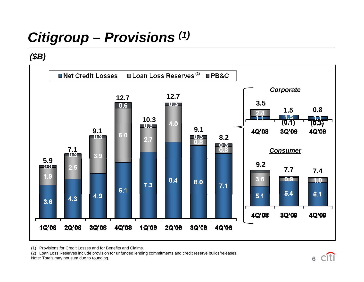# *Citigroup – Provisions (1)*

*(\$B)*



(1) Provisions for Credit Losses and for Benefits and Claims.

(2) Loan Loss Reserves include provision for unfunded lending commitments and credit reserve builds/releases.

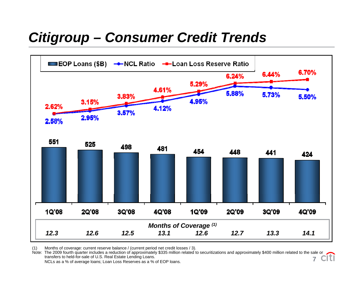#### *Citigroup – Consumer Credit Trends*



(1) Months of coverage: current reserve balance / (current period net credit losses / 3).

Note: The 2009 fourth quarter includes a reduction of approximately \$335 million related to securitizations and approximately \$400 million related to the sale or<br>
TCL transfers to held-for-sale of U.S. Real Estate Lending Loans. **7**

NCLs as a % of average loans; Loan Loss Reserves as a % of EOP loans.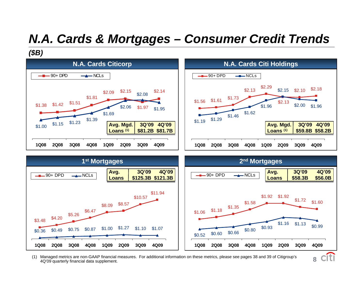#### *N.A. Cards & Mortgages – Consumer Credit Trends*

*(\$B)*





**8**

(1) Managed metrics are non-GAAP financial measures. For additional information on these metrics, please see pages 38 and 39 of Citigroup's 4Q'09 quarterly financial data supplement.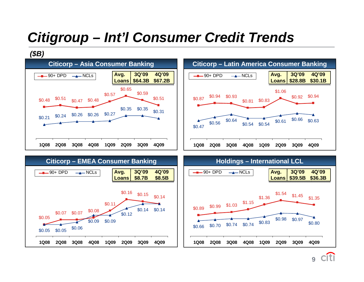#### *Citigroup – Int'l Consumer Credit Trends*

#### *(\$B)*







**9**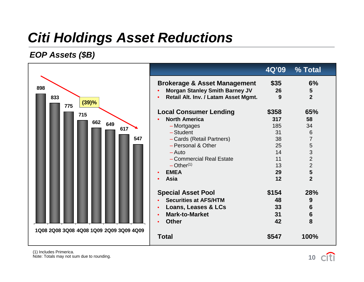#### *Citi Holdings Asset Reductions*

#### *EOP A <sup>t</sup> (\$B) Asse ts*



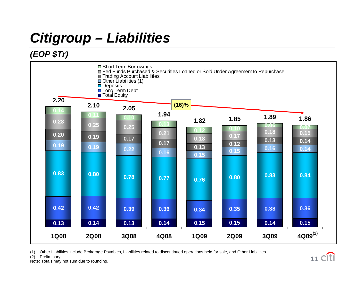# *Citigroup – Liabilities*

#### *(EOP \$ T ) Tr)*



(1) Other Liabilities include Brokerage Payables, Liabilities related to discontinued operations held for sale, and Other Liabilities.

(2) Preliminary.

![](_page_11_Picture_6.jpeg)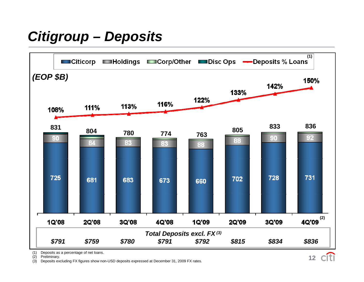#### *Citigroup – Deposits*

![](_page_12_Figure_1.jpeg)

**12**

(1) Deposits as a percentage of net loans.

(2) Preliminary.

(3) Deposits excluding FX figures show non-USD deposits expressed at December 31, 2009 FX rates.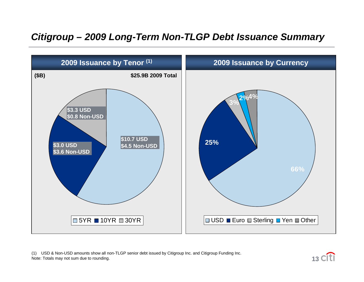#### *Citigroup – 2009 Long-Term Non-TLGP Debt Issuance Summary*

![](_page_13_Figure_1.jpeg)

(1) USD & Non-USD amounts show all non-TLGP senior debt issued by Citigroup Inc. and Citigroup Funding Inc. re a second with the compart of the compart of the compart of the compart of the compart of the compart of the c<br>Note: Totals may not sum due to rounding. **13** CTT

![](_page_13_Picture_3.jpeg)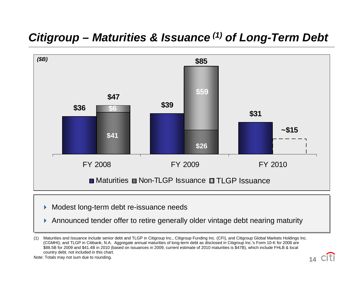#### *Citigroup – Maturities & Issuance (1) of Long-Term Debt*

![](_page_14_Figure_1.jpeg)

- Modest long-term debt re-issuance needs Modest long-term debt re-issuance needs
- Announced tender offer to retire generally older vintage debt nearing maturity Announced tender offer to retire generally older vintage debt nearing maturity

![](_page_14_Picture_6.jpeg)

<sup>(1)</sup> Maturities and Issuance include senior debt and TLGP in Citigroup Inc., Citigroup Funding Inc. (CFI), and Citigroup Global Markets Holdings Inc. (CGMHI); and TLGP in Citibank, N.A. Aggregate annual maturities of long-term debt as disclosed in Citigroup Inc.'s Form 10-K for 2008 are \$88.5B for 2009 and \$41.4B in 2010 (based on issuances in 2009, current estimate of 2010 maturities is \$47B), which include FHLB & local country debt, not included in this chart.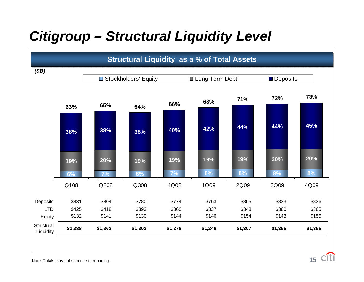#### *Citigroup – Structural Liquidity Level*

![](_page_15_Figure_1.jpeg)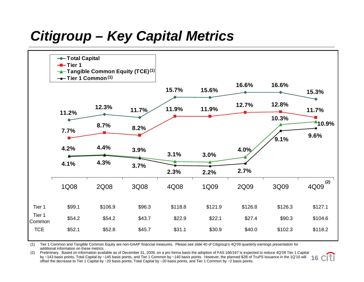#### *Citigroup – Key Capital Metrics*

![](_page_16_Figure_1.jpeg)

(1) Tier 1 Common and Tangible Common Equity are non-GAAP financial measures. Please see slide 40 of Citigroup's 4Q'09 quarterly earnings presentation for additional information on these metrics.

(2) Preliminary. Based on information available as of December 31, 2009, on a pro forma basis the adoption of FAS 166/167 is expected to reduce 4Q'09 Tier 1 Capital by ~143 basis points, Total Capital by ~145 basis points, and Tier 1 Common by ~140 basis points. However, the planned \$2B of TruPS issuance in the 1Q'10 will by ~143 basis points, Total Capital by ~145 basis points, and Tier 1 Common by ~140 basis points. However, the planned \$2B of TruPS issuance in the 1Q'10 will 16<br>offset the decrease to Tier 1 Capital by ~20 basis points. T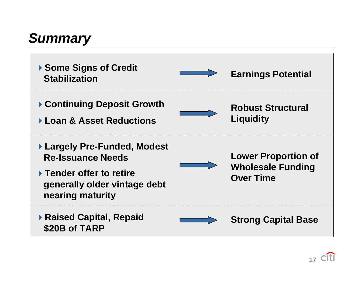#### *Summary*

![](_page_17_Figure_1.jpeg)

![](_page_17_Picture_2.jpeg)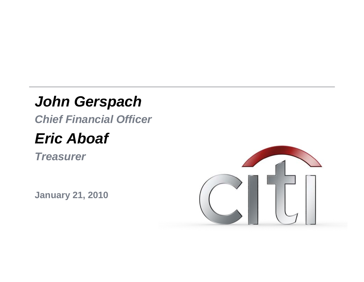#### *John Gerspach*

*Chief Financial Officer*

#### *Eric Aboaf*

*Treasurer*

**January 21 2010 21,** 

![](_page_18_Picture_5.jpeg)